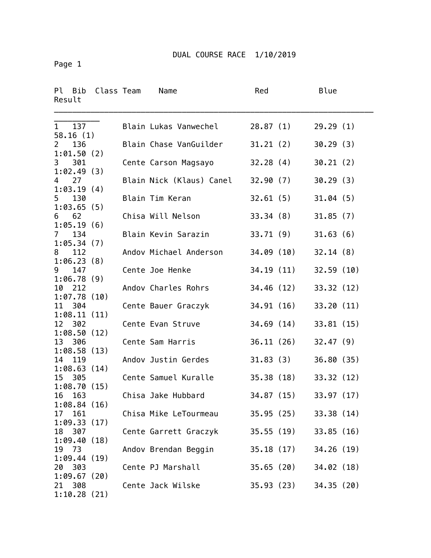Page 1

| Pl<br>Bib<br>Class Team<br>Result   | Name                     | Red        |            | Blue       |  |
|-------------------------------------|--------------------------|------------|------------|------------|--|
| 137<br>$\mathbf{1}$<br>58.16(1)     | Blain Lukas Vanwechel    | 28.87(1)   |            | 29.29(1)   |  |
| 136<br>$\overline{2}$<br>1:01.50(2) | Blain Chase VanGuilder   | 31.21(2)   |            | 30.29(3)   |  |
| 301<br>3<br>1:02.49(3)              | Cente Carson Magsayo     | 32.28(4)   |            | 30.21(2)   |  |
| 27<br>4                             | Blain Nick (Klaus) Canel | 32.90(7)   |            | 30.29(3)   |  |
| 1:03.19(4)<br>5<br>130              | Blain Tim Keran          | 32.61(5)   |            | 31.04(5)   |  |
| 1:03.65(5)<br>62<br>6               | Chisa Will Nelson        | 33.34(8)   |            | 31.85(7)   |  |
| 1:05.19(6)<br>134<br>7              | Blain Kevin Sarazin      | 33.71(9)   |            | 31.63(6)   |  |
| 1:05.34(7)<br>112<br>8              | Andov Michael Anderson   | 34.09 (10) |            | 32.14(8)   |  |
| 1:06.23(8)<br>147<br>9              | Cente Joe Henke          | 34.19 (11) |            | 32.59(10)  |  |
| 1:06.78(9)<br>212<br>10             | Andov Charles Rohrs      |            | 34.46 (12) | 33.32 (12) |  |
| 1:07.78(10)<br>11<br>304            | Cente Bauer Graczyk      | 34.91(16)  |            | 33.20(11)  |  |
| 1:08.11(11)<br>12 302               | Cente Evan Struve        | 34.69(14)  |            | 33.81(15)  |  |
| 1:08.50(12)<br>13 306               | Cente Sam Harris         |            | 36.11 (26) | 32.47(9)   |  |
| 1:08.58(13)<br>119<br>14            | Andov Justin Gerdes      | 31.83(3)   |            | 36.80 (35) |  |
| 1:08.63(14)<br>305<br>15            | Cente Samuel Kuralle     | 35.38(18)  |            | 33.32(12)  |  |
| 1:08.70(15)<br>163<br>16            | Chisa Jake Hubbard       | 34.87 (15) |            | 33.97(17)  |  |
| 1:08.84(16)<br>161<br>17            | Chisa Mike LeTourmeau    |            | 35.95 (25) | 33.38(14)  |  |
| 1:09.33(17)<br>307<br>18            | Cente Garrett Graczyk    |            | 35.55(19)  | 33.85(16)  |  |
| 1:09.40(18)<br>73<br>19             | Andov Brendan Beggin     |            | 35.18 (17) | 34.26 (19) |  |
| 1:09.44(19)<br>303<br>20            | Cente PJ Marshall        |            | 35.65 (20) | 34.02 (18) |  |
| 1:09.67(20)<br>308<br>21            | Cente Jack Wilske        |            | 35.93 (23) | 34.35(20)  |  |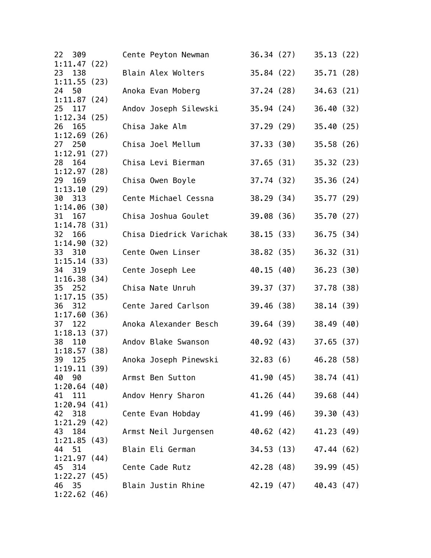| 22 309                   |  | Cente Peyton Newman     | 36.34(27)  |                        | 35.13(22)  |  |
|--------------------------|--|-------------------------|------------|------------------------|------------|--|
| 1:11.47(22)<br>23<br>138 |  | Blain Alex Wolters      |            | 35.84 (22)             | 35.71(28)  |  |
| 1:11.55(23)              |  |                         |            |                        |            |  |
| 24 50<br>1:11.87(24)     |  | Anoka Evan Moberg       |            | 37.24 (28)             | 34.63(21)  |  |
| 25 117                   |  | Andov Joseph Silewski   |            | 35.94 (24)             | 36.40(32)  |  |
| 1:12.34(25)<br>26<br>165 |  | Chisa Jake Alm          | 37.29(29)  |                        | 35.40(25)  |  |
| 1:12.69(26)<br>27<br>250 |  | Chisa Joel Mellum       | 37.33(30)  |                        | 35.58(26)  |  |
| 1:12.91(27)<br>28 164    |  | Chisa Levi Bierman      | 37.65(31)  |                        | 35.32(23)  |  |
| 1:12.97(28)<br>29 169    |  | Chisa Owen Boyle        |            | 37.74 (32)             | 35.36 (24) |  |
| 1:13.10(29)              |  |                         |            |                        |            |  |
| 30 313                   |  | Cente Michael Cessna    |            | 38.29 (34) 35.77 (29)  |            |  |
| 1:14.06(30)<br>31<br>167 |  | Chisa Joshua Goulet     |            | 39.08 (36)             | 35.70(27)  |  |
| 1:14.78(31)              |  |                         |            |                        |            |  |
| 32 166                   |  | Chisa Diedrick Varichak |            | 38.15 (33)             | 36.75(34)  |  |
| 1:14.90(32)              |  |                         |            |                        |            |  |
| 33 310<br>1:15.14(33)    |  | Cente Owen Linser       |            | 38.82 (35)             | 36.32(31)  |  |
| 34 319                   |  | Cente Joseph Lee        |            | 40.15 (40)             | 36.23(30)  |  |
| 1:16.38(34)              |  |                         |            |                        |            |  |
| 35<br>252<br>1:17.15(35) |  | Chisa Nate Unruh        |            | 39.37 (37)             | 37.78 (38) |  |
| 36 312                   |  | Cente Jared Carlson     | 39.46 (38) |                        | 38.14(39)  |  |
| 1:17.60(36)              |  |                         |            |                        |            |  |
| 37<br>122                |  | Anoka Alexander Besch   |            | 39.64 (39)             | 38.49(40)  |  |
| 1:18.13(37)<br>38<br>110 |  | Andov Blake Swanson     |            | 40.92 (43) 37.65 (37)  |            |  |
| 1:18.57(38)              |  |                         |            |                        |            |  |
| 39<br>125                |  | Anoka Joseph Pinewski   |            | 32.83(6)               | 46.28 (58) |  |
| 1:19.11(39)              |  |                         |            |                        |            |  |
| 40 90<br>1:20.64(40)     |  | Armst Ben Sutton        |            | $41.90(45)$ 38.74 (41) |            |  |
| 41 111                   |  | Andov Henry Sharon      |            | 41.26 (44) 39.68 (44)  |            |  |
| 1:20.94(41)              |  |                         |            |                        |            |  |
| 42 318                   |  | Cente Evan Hobday       |            | 41.99 (46) 39.30 (43)  |            |  |
| 1:21.29(42)              |  |                         |            |                        |            |  |
| 184<br>43                |  | Armst Neil Jurgensen    |            | 40.62 (42)             | 41.23 (49) |  |
| 1:21.85(43)              |  |                         |            | 34.53 (13)             |            |  |
| 44 51<br>1:21.97(44)     |  | Blain Eli German        |            |                        | 47.44 (62) |  |
| 45 314                   |  | Cente Cade Rutz         |            | 42.28 (48) 39.99 (45)  |            |  |
| 1:22.27(45)              |  |                         |            |                        |            |  |
| 46 35                    |  | Blain Justin Rhine      |            | 42.19 (47)             | 40.43 (47) |  |
| 1:22.62(46)              |  |                         |            |                        |            |  |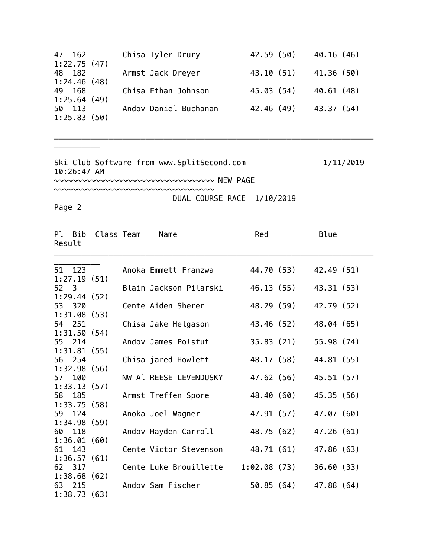| 47 162<br>1:22.75(47) | Chisa Tyler Drury     | 42.59 (50)   | 40.16(46)  |
|-----------------------|-----------------------|--------------|------------|
| 48 182                | Armst Jack Dreyer     | 43.10 (51)   | 41.36 (50) |
| 1:24.46(48)<br>49 168 | Chisa Ethan Johnson   | 45.03 (54)   | 40.61 (48) |
| 1:25.64(49)           |                       |              |            |
| 50 113<br>1:25.83(50) | Andov Daniel Buchanan | $42,46$ (49) | 43.37 (54) |

\_\_\_\_\_\_\_\_\_\_\_\_\_\_\_\_\_\_\_\_\_\_\_\_\_\_\_\_\_\_\_\_\_\_\_\_\_\_\_\_\_\_\_\_\_\_\_\_\_\_\_\_\_\_\_\_\_\_\_\_\_\_\_\_\_\_\_\_\_\_

Ski Club Software from www.SplitSecond.com 1/11/2019 10:26:47 AM

~~~~~~~~~~~~~~~~~~~~~~~~~~~~~~~~~~~ NEW PAGE

~~~~~~~~~~~~~~~~~~~~~~~~~~~~~~~~~~~ DUAL COURSE RACE 1/10/2019

Page 2

\_\_\_\_\_\_\_\_\_\_

| Result | Pl Bib             | Class Team | Name                   | Red         |            | Blue       |
|--------|--------------------|------------|------------------------|-------------|------------|------------|
|        | 51 123             |            | Anoka Emmett Franzwa   |             | 44.70 (53) | 42.49 (51) |
|        | 1:27.19(51)        |            |                        |             |            |            |
| 52 3   |                    |            | Blain Jackson Pilarski |             | 46.13 (55) | 43.31 (53) |
|        | 1:29.44(52)        |            |                        |             |            |            |
|        | 53 320             |            | Cente Aiden Sherer     |             | 48.29 (59) | 42.79 (52) |
|        | 1:31.08(53)        |            |                        |             |            |            |
|        | 54 251             |            | Chisa Jake Helgason    |             | 43.46 (52) | 48.04 (65) |
|        | 1:31.50(54)        |            |                        |             |            |            |
|        | 55 214             |            | Andov James Polsfut    |             | 35.83 (21) | 55.98 (74) |
|        | 1:31.81(55)        |            |                        |             |            |            |
| 56     | 254<br>1:32.98(56) |            | Chisa jared Howlett    |             | 48.17 (58) | 44.81 (55) |
| 57 -   | 100                |            | NW Al REESE LEVENDUSKY |             | 47.62 (56) | 45.51 (57) |
|        | 1:33.13(57)        |            |                        |             |            |            |
| 58     | 185                |            | Armst Treffen Spore    |             | 48.40 (60) | 45.35 (56) |
|        | 1:33.75(58)        |            |                        |             |            |            |
| 59     | 124                |            | Anoka Joel Wagner      |             | 47.91 (57) | 47.07 (60) |
|        | 1:34.98(59)        |            |                        |             |            |            |
| 60     | 118                |            | Andov Hayden Carroll   |             | 48.75 (62) | 47.26(61)  |
|        | 1:36.01(60)        |            |                        |             |            |            |
| 61     | 143                |            | Cente Victor Stevenson |             | 48.71 (61) | 47.86 (63) |
|        | 1:36.57(61)        |            |                        |             |            |            |
|        | 62 317             |            | Cente Luke Brouillette | 1:02.08(73) |            | 36.60(33)  |
|        | 1:38.68(62)        |            |                        |             |            |            |
|        | 63 215             |            | Andov Sam Fischer      |             | 50.85 (64) | 47.88 (64) |
|        | 1:38.73(63)        |            |                        |             |            |            |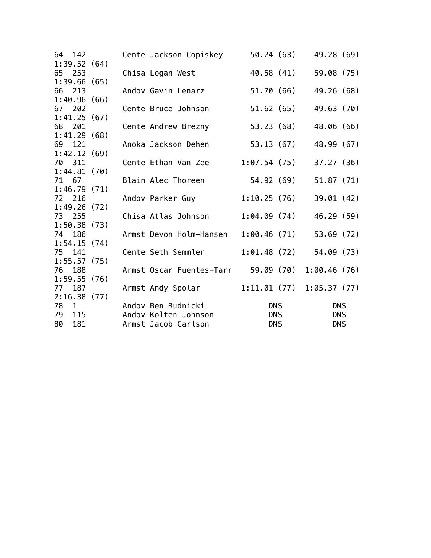| 64 142                   |  | Cente Jackson Copiskey                     |             | 50.24 (63) | 49.28 (69)             |  |
|--------------------------|--|--------------------------------------------|-------------|------------|------------------------|--|
| 1:39.52(64)              |  |                                            |             |            |                        |  |
| 65 253                   |  | Chisa Logan West                           | 40.58 (41)  |            | 59.08(75)              |  |
| 1:39.66(65)              |  |                                            |             |            |                        |  |
| 66 213                   |  | Andov Gavin Lenarz                         |             | 51.70 (66) | 49.26 (68)             |  |
| 1:40.96(66)              |  |                                            |             |            |                        |  |
| 67 202                   |  | Cente Bruce Johnson                        |             | 51.62 (65) | 49.63 (70)             |  |
| 1:41.25(67)              |  |                                            |             |            |                        |  |
| 68 201                   |  | Cente Andrew Brezny                        | 53.23(68)   |            | 48.06 (66)             |  |
| 1:41.29(68)              |  |                                            |             |            |                        |  |
| 69<br>121                |  | Anoka Jackson Dehen                        |             | 53.13 (67) | 48.99 (67)             |  |
| 1:42.12(69)              |  |                                            |             |            |                        |  |
| 70 311                   |  | Cente Ethan Van Zee                        | 1:07.54(75) |            | 37.27(36)              |  |
| 1:44.81(70)              |  |                                            |             |            |                        |  |
| 71 67                    |  | Blain Alec Thoreen                         |             | 54.92 (69) | 51.87(71)              |  |
| 1:46.79(71)              |  |                                            |             |            |                        |  |
| 72 216                   |  | Andov Parker Guy                           | 1:10.25(76) |            | 39.01(42)              |  |
| 1:49.26(72)              |  |                                            |             |            |                        |  |
| 73 255                   |  | Chisa Atlas Johnson                        | 1:04.09(74) |            | 46.29 (59)             |  |
| 1:50.38(73)              |  |                                            |             |            |                        |  |
| 186<br>74                |  | Armst Devon Holm-Hansen                    | 1:00.46(71) |            | 53.69(72)              |  |
| 1:54.15(74)              |  | Cente Seth Semmler                         |             |            |                        |  |
| 75 141                   |  |                                            | 1:01.48(72) |            | 54.09 (73)             |  |
| 1:55.57(75)              |  |                                            |             |            |                        |  |
| 188<br>76                |  | Armst Oscar Fuentes-Tarr 59.09 (70)        |             |            | 1:00.46(76)            |  |
| 1:59.55(76)              |  |                                            |             |            |                        |  |
| 77 187                   |  | Armst Andy Spolar                          |             |            | 1:11.01(77)1:05.37(77) |  |
| 2:16.38(77)              |  |                                            |             |            |                        |  |
| 78<br>$\mathbf{1}$<br>79 |  | Andov Ben Rudnicki<br>Andov Kolten Johnson |             | <b>DNS</b> | <b>DNS</b>             |  |
| 115                      |  |                                            |             | <b>DNS</b> | <b>DNS</b>             |  |
| 80<br>181                |  | Armst Jacob Carlson                        |             | <b>DNS</b> | <b>DNS</b>             |  |